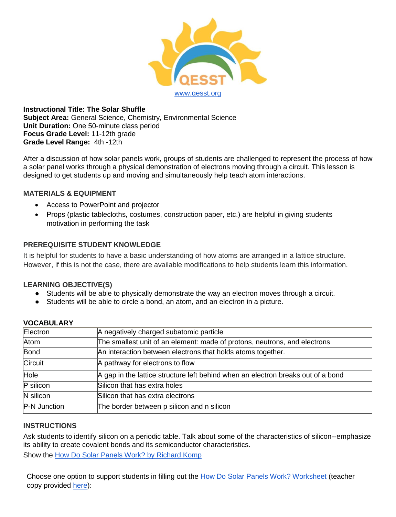

**Instructional Title: The Solar Shuffle Subject Area:** General Science, Chemistry, Environmental Science **Unit Duration:** One 50-minute class period **Focus Grade Level:** 11-12th grade **Grade Level Range:** 4th -12th

After a discussion of how solar panels work, groups of students are challenged to represent the process of how a solar panel works through a physical demonstration of electrons moving through a circuit. This lesson is designed to get students up and moving and simultaneously help teach atom interactions.

### **MATERIALS & EQUIPMENT**

- Access to PowerPoint and projector
- Props (plastic tablecloths, costumes, construction paper, etc.) are helpful in giving students motivation in performing the task

## **PREREQUISITE STUDENT KNOWLEDGE**

It is helpful for students to have a basic understanding of how atoms are arranged in a lattice structure. However, if this is not the case, there are available modifications to help students learn this information.

## **LEARNING OBJECTIVE(S)**

- Students will be able to physically demonstrate the way an electron moves through a circuit.
- Students will be able to circle a bond, an atom, and an electron in a picture.

| Electron     | A negatively charged subatomic particle                                          |  |  |
|--------------|----------------------------------------------------------------------------------|--|--|
| Atom         | The smallest unit of an element: made of protons, neutrons, and electrons        |  |  |
| Bond         | An interaction between electrons that holds atoms together.                      |  |  |
| Circuit      | A pathway for electrons to flow                                                  |  |  |
| Hole         | A gap in the lattice structure left behind when an electron breaks out of a bond |  |  |
| P silicon    | Silicon that has extra holes                                                     |  |  |
| N silicon    | Silicon that has extra electrons                                                 |  |  |
| P-N Junction | The border between p silicon and n silicon                                       |  |  |

# **VOCABULARY**

### **INSTRUCTIONS**

Ask students to identify silicon on a periodic table. Talk about some of the characteristics of silicon--emphasize its ability to create covalent bonds and its semiconductor characteristics.

Show the [How Do Solar Panels Work? by Richard Komp](https://www.youtube.com/watch?v=xKxrkht7CpY)

Choose one option to support students in filling out the [How Do Solar Panels Work? Worksheet](https://drive.google.com/open?id=1jSnj7SUHHjsCXvjUktFVcZgcDIRp7Wlm5h-UCOeamB0) (teacher copy provided [here\)](https://docs.google.com/document/d/1ytHGpbrlXpmsGrCoxOgwGweAhFRMsXru_SsTn2_eThE/edit?usp=sharing):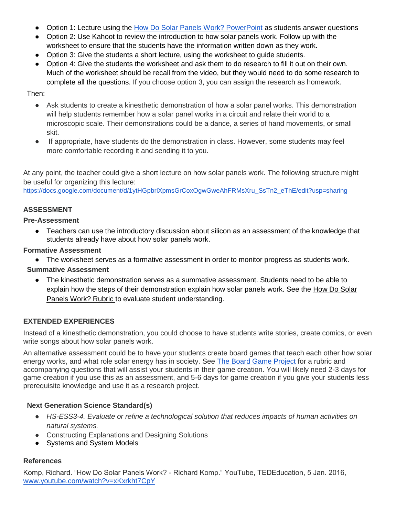- Option 1: Lecture using the [How Do Solar Panels Work? PowerPoint](https://docs.google.com/presentation/d/1CTeuQW1GAhcCWUBDVsBNw9EUKmjJ4Yzt1KKkpgzWv24/edit?usp=sharing) as students answer questions
- Option 2: Use Kahoot to review the introduction to how solar panels work. Follow up with the worksheet to ensure that the students have the information written down as they work.
- Option 3: Give the students a short lecture, using the worksheet to guide students.
- Option 4: Give the students the worksheet and ask them to do research to fill it out on their own. Much of the worksheet should be recall from the video, but they would need to do some research to complete all the questions. If you choose option 3, you can assign the research as homework.

Then:

- Ask students to create a kinesthetic demonstration of how a solar panel works. This demonstration will help students remember how a solar panel works in a circuit and relate their world to a microscopic scale. Their demonstrations could be a dance, a series of hand movements, or small skit.
- If appropriate, have students do the demonstration in class. However, some students may feel more comfortable recording it and sending it to you.

At any point, the teacher could give a short lecture on how solar panels work. The following structure might be useful for organizing this lecture:

[https://docs.google.com/document/d/1ytHGpbrlXpmsGrCoxOgwGweAhFRMsXru\\_SsTn2\\_eThE/edit?usp=sharing](https://docs.google.com/document/d/1ytHGpbrlXpmsGrCoxOgwGweAhFRMsXru_SsTn2_eThE/edit?usp=sharing)

## **ASSESSMENT**

### **Pre-Assessment**

• Teachers can use the introductory discussion about silicon as an assessment of the knowledge that students already have about how solar panels work.

### **Formative Assessment**

● The worksheet serves as a formative assessment in order to monitor progress as students work.

### **Summative Assessment**

● The kinesthetic demonstration serves as a summative assessment. Students need to be able to explain how the steps of their demonstration explain how solar panels work. See the How Do Solar Panels Work? Rubric to evaluate student understanding.

## **EXTENDED EXPERIENCES**

Instead of a kinesthetic demonstration, you could choose to have students write stories, create comics, or even write songs about how solar panels work.

An alternative assessment could be to have your students create board games that teach each other how solar energy works, and what role solar energy has in society. See [The Board Game Project](https://docs.google.com/document/d/1c3Zar-GxnF15h2uE0jzGthvq2fFG7Z-u-ykSQcJsOhM/edit?usp=sharing) for a rubric and accompanying questions that will assist your students in their game creation. You will likely need 2-3 days for game creation if you use this as an assessment, and 5-6 days for game creation if you give your students less prerequisite knowledge and use it as a research project.

## **Next Generation Science Standard(s)**

- *HS-ESS3-4. Evaluate or refine a technological solution that reduces impacts of human activities on natural systems.*
- Constructing Explanations and Designing Solutions
- Systems and System Models

### **References**

Komp, Richard. "How Do Solar Panels Work? - Richard Komp." YouTube, TEDEducation, 5 Jan. 2016, [www.youtube.com/watch?v=xKxrkht7CpY](http://www.youtube.com/watch?v=xKxrkht7CpY)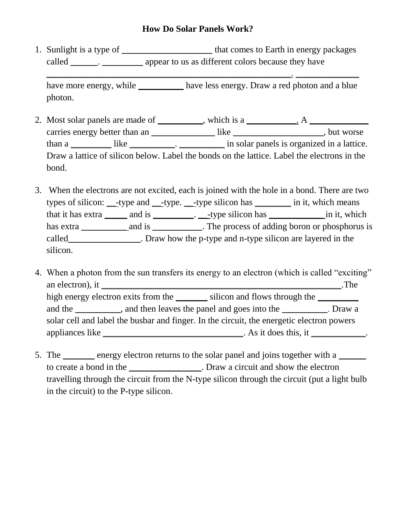# **How Do Solar Panels Work?**

1. Sunlight is a type of \_\_\_\_\_\_\_\_\_\_\_\_\_\_\_\_\_\_\_\_\_\_\_ that comes to Earth in energy packages called \_\_\_\_\_\_\_. \_\_\_\_\_\_\_\_\_\_\_ appear to us as different colors because they have

have more energy, while \_\_\_\_\_\_\_\_\_\_\_ have less energy. Draw a red photon and a blue photon.

\_\_\_\_\_\_\_\_\_\_\_\_\_\_\_\_\_\_\_\_\_\_\_\_\_\_\_\_\_\_\_\_\_\_\_\_\_\_\_\_\_\_\_\_\_\_\_\_\_\_\_\_\_\_. \_\_\_\_\_\_\_\_\_\_\_\_\_\_

- 2. Most solar panels are made of \_\_\_\_\_\_\_\_, which is a \_\_\_\_\_\_\_. A \_\_\_\_\_\_\_\_\_\_\_\_\_\_\_\_ carries energy better than an \_\_\_\_\_\_\_\_\_\_\_\_\_\_\_\_ like \_\_\_\_\_\_\_\_\_\_\_\_\_\_\_\_\_\_\_, but worse than a \_\_\_\_\_\_\_\_\_\_\_\_ like \_\_\_\_\_\_\_\_\_\_\_. \_\_\_\_\_\_\_\_\_\_\_\_ in solar panels is organized in a lattice. Draw a lattice of silicon below. Label the bonds on the lattice. Label the electrons in the bond.
- 3. When the electrons are not excited, each is joined with the hole in a bond. There are two types of silicon: \_\_-type and \_\_-type. \_\_-type silicon has \_\_\_\_\_\_\_\_ in it, which means that it has extra \_\_\_\_\_\_\_ and is \_\_\_\_\_\_\_\_\_. \_\_\_-type silicon has \_\_\_\_\_\_\_\_\_\_\_\_\_\_\_\_ in it, which has extra \_\_\_\_\_\_\_\_\_\_ and is \_\_\_\_\_\_\_\_\_\_. The process of adding boron or phosphorus is called\_\_\_\_\_\_\_\_\_\_\_\_\_\_\_\_. Draw how the p-type and n-type silicon are layered in the silicon.
- 4. When a photon from the sun transfers its energy to an electron (which is called "exciting" an electron), it \_\_\_\_\_\_\_\_\_\_\_\_\_\_\_\_\_\_\_\_\_\_\_\_\_\_\_\_\_\_\_\_\_\_\_\_\_\_\_\_\_\_\_\_\_\_\_\_\_\_\_\_\_.The high energy electron exits from the silicon and flows through the and the and then leaves the panel and goes into the and the Draw a solar cell and label the busbar and finger. In the circuit, the energetic electron powers appliances like \_\_\_\_\_\_\_\_\_\_\_\_\_\_\_\_\_\_\_\_\_\_\_\_\_\_\_. As it does this, it \_\_\_\_\_\_\_\_\_\_\_\_.
- 5. The <u>energy</u> electron returns to the solar panel and joins together with a <u>second</u> to create a bond in the \_\_\_\_\_\_\_\_\_\_\_\_\_\_\_\_. Draw a circuit and show the electron travelling through the circuit from the N-type silicon through the circuit (put a light bulb in the circuit) to the P-type silicon.